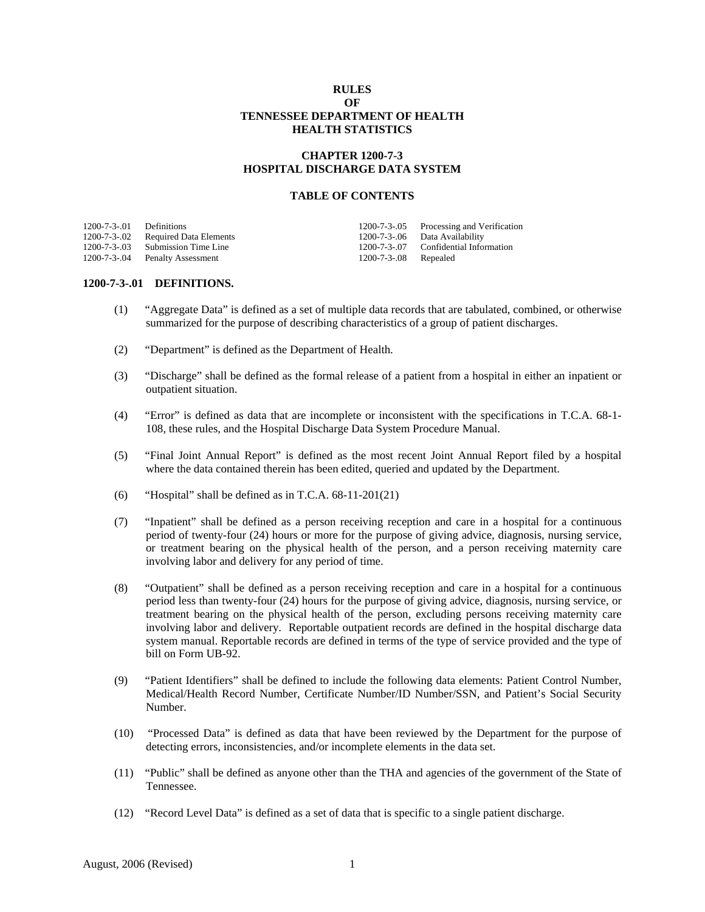# **RULES OF TENNESSEE DEPARTMENT OF HEALTH HEALTH STATISTICS**

# **CHAPTER 1200-7-3 HOSPITAL DISCHARGE DATA SYSTEM**

#### **TABLE OF CONTENTS**

| $1200-7-3-01$ Definitions |                                    |                      | 1200-7-3-05 Processing and Verification |
|---------------------------|------------------------------------|----------------------|-----------------------------------------|
|                           | 1200-7-3-02 Required Data Elements |                      | 1200-7-3-.06 Data Availability          |
|                           | 1200-7-3-03 Submission Time Line   |                      | 1200-7-3-07 Confidential Information    |
|                           | 1200-7-3-.04 Penalty Assessment    | 1200-7-3-08 Repealed |                                         |

#### **1200-7-3-.01 DEFINITIONS.**

- (1) "Aggregate Data" is defined as a set of multiple data records that are tabulated, combined, or otherwise summarized for the purpose of describing characteristics of a group of patient discharges.
- (2) "Department" is defined as the Department of Health.
- (3) "Discharge" shall be defined as the formal release of a patient from a hospital in either an inpatient or outpatient situation.
- (4) "Error" is defined as data that are incomplete or inconsistent with the specifications in T.C.A. 68-1- 108, these rules, and the Hospital Discharge Data System Procedure Manual.
- (5) "Final Joint Annual Report" is defined as the most recent Joint Annual Report filed by a hospital where the data contained therein has been edited, queried and updated by the Department.
- (6) "Hospital" shall be defined as in T.C.A. 68-11-201(21)
- (7) "Inpatient" shall be defined as a person receiving reception and care in a hospital for a continuous period of twenty-four (24) hours or more for the purpose of giving advice, diagnosis, nursing service, or treatment bearing on the physical health of the person, and a person receiving maternity care involving labor and delivery for any period of time.
- (8) "Outpatient" shall be defined as a person receiving reception and care in a hospital for a continuous period less than twenty-four (24) hours for the purpose of giving advice, diagnosis, nursing service, or treatment bearing on the physical health of the person, excluding persons receiving maternity care involving labor and delivery. Reportable outpatient records are defined in the hospital discharge data system manual. Reportable records are defined in terms of the type of service provided and the type of bill on Form UB-92.
- (9) "Patient Identifiers" shall be defined to include the following data elements: Patient Control Number, Medical/Health Record Number, Certificate Number/ID Number/SSN, and Patient's Social Security Number.
- (10) "Processed Data" is defined as data that have been reviewed by the Department for the purpose of detecting errors, inconsistencies, and/or incomplete elements in the data set.
- (11) "Public" shall be defined as anyone other than the THA and agencies of the government of the State of Tennessee.
- (12) "Record Level Data" is defined as a set of data that is specific to a single patient discharge.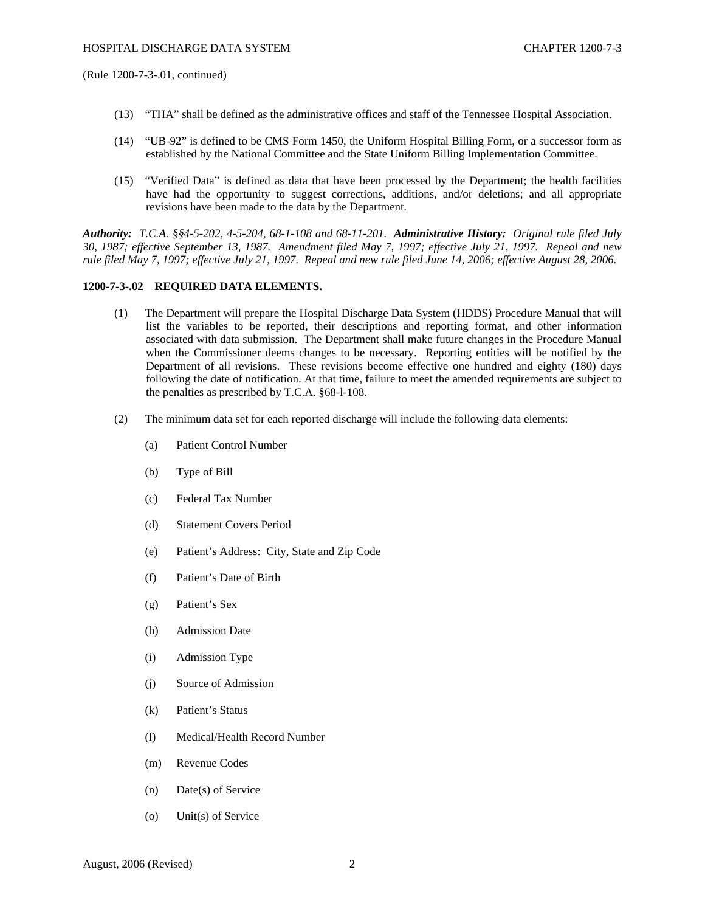(Rule 1200-7-3-.01, continued)

- (13) "THA" shall be defined as the administrative offices and staff of the Tennessee Hospital Association.
- (14) "UB-92" is defined to be CMS Form 1450, the Uniform Hospital Billing Form, or a successor form as established by the National Committee and the State Uniform Billing Implementation Committee.
- (15) "Verified Data" is defined as data that have been processed by the Department; the health facilities have had the opportunity to suggest corrections, additions, and/or deletions; and all appropriate revisions have been made to the data by the Department.

*Authority: T.C.A. §§4-5-202, 4-5-204, 68-1-108 and 68-11-201. Administrative History: Original rule filed July 30, 1987; effective September 13, 1987. Amendment filed May 7, 1997; effective July 21, 1997. Repeal and new rule filed May 7, 1997; effective July 21, 1997. Repeal and new rule filed June 14, 2006; effective August 28, 2006.* 

### **1200-7-3-.02 REQUIRED DATA ELEMENTS.**

- (1) The Department will prepare the Hospital Discharge Data System (HDDS) Procedure Manual that will list the variables to be reported, their descriptions and reporting format, and other information associated with data submission. The Department shall make future changes in the Procedure Manual when the Commissioner deems changes to be necessary. Reporting entities will be notified by the Department of all revisions. These revisions become effective one hundred and eighty (180) days following the date of notification. At that time, failure to meet the amended requirements are subject to the penalties as prescribed by T.C.A. §68-l-108.
- (2) The minimum data set for each reported discharge will include the following data elements:
	- (a) Patient Control Number
	- (b) Type of Bill
	- (c) Federal Tax Number
	- (d) Statement Covers Period
	- (e) Patient's Address: City, State and Zip Code
	- (f) Patient's Date of Birth
	- (g) Patient's Sex
	- (h) Admission Date
	- (i) Admission Type
	- (j) Source of Admission
	- (k) Patient's Status
	- (l) Medical/Health Record Number
	- (m) Revenue Codes
	- (n) Date(s) of Service
	- (o) Unit(s) of Service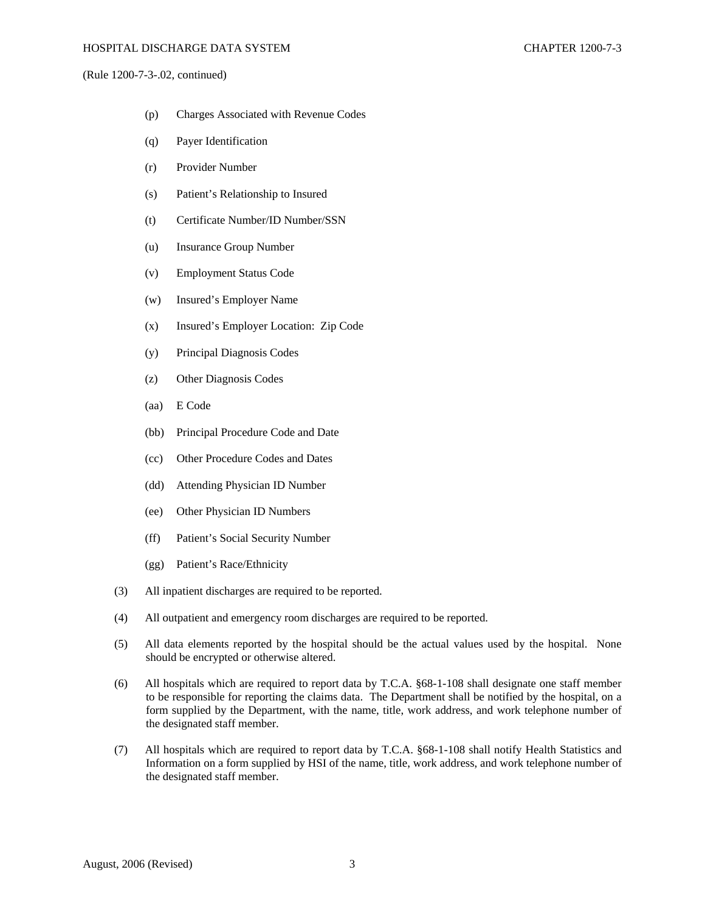(Rule 1200-7-3-.02, continued)

- (p) Charges Associated with Revenue Codes
- (q) Payer Identification
- (r) Provider Number
- (s) Patient's Relationship to Insured
- (t) Certificate Number/ID Number/SSN
- (u) Insurance Group Number
- (v) Employment Status Code
- (w) Insured's Employer Name
- (x) Insured's Employer Location: Zip Code
- (y) Principal Diagnosis Codes
- (z) Other Diagnosis Codes
- (aa) E Code
- (bb) Principal Procedure Code and Date
- (cc) Other Procedure Codes and Dates
- (dd) Attending Physician ID Number
- (ee) Other Physician ID Numbers
- (ff) Patient's Social Security Number
- (gg) Patient's Race/Ethnicity
- (3) All inpatient discharges are required to be reported.
- (4) All outpatient and emergency room discharges are required to be reported.
- (5) All data elements reported by the hospital should be the actual values used by the hospital. None should be encrypted or otherwise altered.
- (6) All hospitals which are required to report data by T.C.A. §68-1-108 shall designate one staff member to be responsible for reporting the claims data. The Department shall be notified by the hospital, on a form supplied by the Department, with the name, title, work address, and work telephone number of the designated staff member.
- (7) All hospitals which are required to report data by T.C.A. §68-1-108 shall notify Health Statistics and Information on a form supplied by HSI of the name, title, work address, and work telephone number of the designated staff member.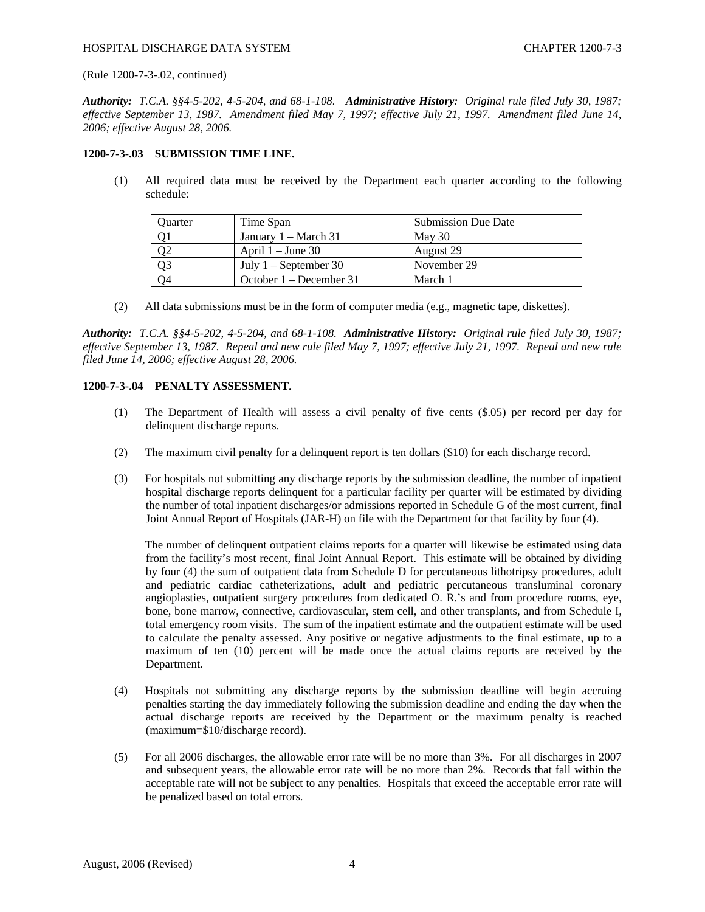### HOSPITAL DISCHARGE DATA SYSTEM CHAPTER 1200-7-3

(Rule 1200-7-3-.02, continued)

*Authority: T.C.A. §§4-5-202, 4-5-204, and 68-1-108. Administrative History: Original rule filed July 30, 1987; effective September 13, 1987. Amendment filed May 7, 1997; effective July 21, 1997. Amendment filed June 14, 2006; effective August 28, 2006.* 

# **1200-7-3-.03 SUBMISSION TIME LINE.**

(1) All required data must be received by the Department each quarter according to the following schedule:

| Ouarter | Time Span                      | <b>Submission Due Date</b> |
|---------|--------------------------------|----------------------------|
|         | January $1 - \text{March } 31$ | May 30                     |
|         | April $1 -$ June 30            | August 29                  |
|         | July $1 -$ September 30        | November 29                |
| 74      | October $1 -$ December 31      | March 1                    |

(2) All data submissions must be in the form of computer media (e.g., magnetic tape, diskettes).

*Authority: T.C.A. §§4-5-202, 4-5-204, and 68-1-108. Administrative History: Original rule filed July 30, 1987; effective September 13, 1987. Repeal and new rule filed May 7, 1997; effective July 21, 1997. Repeal and new rule filed June 14, 2006; effective August 28, 2006.* 

# **1200-7-3-.04 PENALTY ASSESSMENT.**

- (1) The Department of Health will assess a civil penalty of five cents (\$.05) per record per day for delinquent discharge reports.
- (2) The maximum civil penalty for a delinquent report is ten dollars (\$10) for each discharge record.
- (3) For hospitals not submitting any discharge reports by the submission deadline, the number of inpatient hospital discharge reports delinquent for a particular facility per quarter will be estimated by dividing the number of total inpatient discharges/or admissions reported in Schedule G of the most current, final Joint Annual Report of Hospitals (JAR-H) on file with the Department for that facility by four (4).

 The number of delinquent outpatient claims reports for a quarter will likewise be estimated using data from the facility's most recent, final Joint Annual Report. This estimate will be obtained by dividing by four (4) the sum of outpatient data from Schedule D for percutaneous lithotripsy procedures, adult and pediatric cardiac catheterizations, adult and pediatric percutaneous transluminal coronary angioplasties, outpatient surgery procedures from dedicated O. R.'s and from procedure rooms, eye, bone, bone marrow, connective, cardiovascular, stem cell, and other transplants, and from Schedule I, total emergency room visits. The sum of the inpatient estimate and the outpatient estimate will be used to calculate the penalty assessed. Any positive or negative adjustments to the final estimate, up to a maximum of ten (10) percent will be made once the actual claims reports are received by the Department.

- (4) Hospitals not submitting any discharge reports by the submission deadline will begin accruing penalties starting the day immediately following the submission deadline and ending the day when the actual discharge reports are received by the Department or the maximum penalty is reached (maximum=\$10/discharge record).
- (5) For all 2006 discharges, the allowable error rate will be no more than 3%. For all discharges in 2007 and subsequent years, the allowable error rate will be no more than 2%. Records that fall within the acceptable rate will not be subject to any penalties. Hospitals that exceed the acceptable error rate will be penalized based on total errors.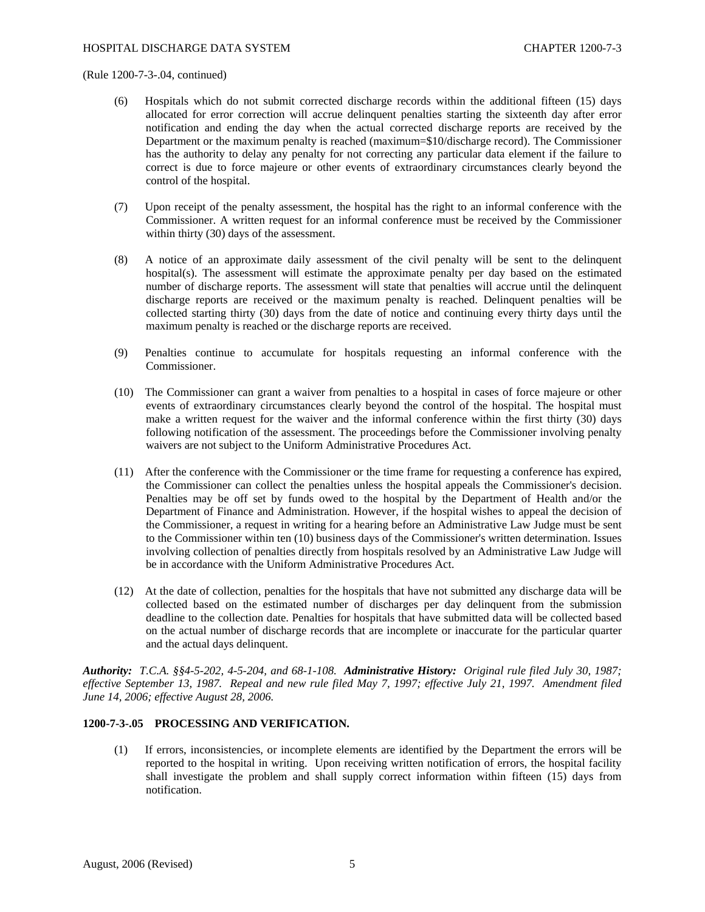### (Rule 1200-7-3-.04, continued)

- (6) Hospitals which do not submit corrected discharge records within the additional fifteen (15) days allocated for error correction will accrue delinquent penalties starting the sixteenth day after error notification and ending the day when the actual corrected discharge reports are received by the Department or the maximum penalty is reached (maximum=\$10/discharge record). The Commissioner has the authority to delay any penalty for not correcting any particular data element if the failure to correct is due to force majeure or other events of extraordinary circumstances clearly beyond the control of the hospital.
- (7) Upon receipt of the penalty assessment, the hospital has the right to an informal conference with the Commissioner. A written request for an informal conference must be received by the Commissioner within thirty (30) days of the assessment.
- (8) A notice of an approximate daily assessment of the civil penalty will be sent to the delinquent hospital(s). The assessment will estimate the approximate penalty per day based on the estimated number of discharge reports. The assessment will state that penalties will accrue until the delinquent discharge reports are received or the maximum penalty is reached. Delinquent penalties will be collected starting thirty (30) days from the date of notice and continuing every thirty days until the maximum penalty is reached or the discharge reports are received.
- (9) Penalties continue to accumulate for hospitals requesting an informal conference with the Commissioner.
- (10) The Commissioner can grant a waiver from penalties to a hospital in cases of force majeure or other events of extraordinary circumstances clearly beyond the control of the hospital. The hospital must make a written request for the waiver and the informal conference within the first thirty (30) days following notification of the assessment. The proceedings before the Commissioner involving penalty waivers are not subject to the Uniform Administrative Procedures Act.
- (11) After the conference with the Commissioner or the time frame for requesting a conference has expired, the Commissioner can collect the penalties unless the hospital appeals the Commissioner's decision. Penalties may be off set by funds owed to the hospital by the Department of Health and/or the Department of Finance and Administration. However, if the hospital wishes to appeal the decision of the Commissioner, a request in writing for a hearing before an Administrative Law Judge must be sent to the Commissioner within ten (10) business days of the Commissioner's written determination. Issues involving collection of penalties directly from hospitals resolved by an Administrative Law Judge will be in accordance with the Uniform Administrative Procedures Act.
- (12) At the date of collection, penalties for the hospitals that have not submitted any discharge data will be collected based on the estimated number of discharges per day delinquent from the submission deadline to the collection date. Penalties for hospitals that have submitted data will be collected based on the actual number of discharge records that are incomplete or inaccurate for the particular quarter and the actual days delinquent.

*Authority: T.C.A. §§4-5-202, 4-5-204, and 68-1-108. Administrative History: Original rule filed July 30, 1987; effective September 13, 1987. Repeal and new rule filed May 7, 1997; effective July 21, 1997. Amendment filed June 14, 2006; effective August 28, 2006.* 

# **1200-7-3-.05 PROCESSING AND VERIFICATION.**

(1) If errors, inconsistencies, or incomplete elements are identified by the Department the errors will be reported to the hospital in writing. Upon receiving written notification of errors, the hospital facility shall investigate the problem and shall supply correct information within fifteen (15) days from notification.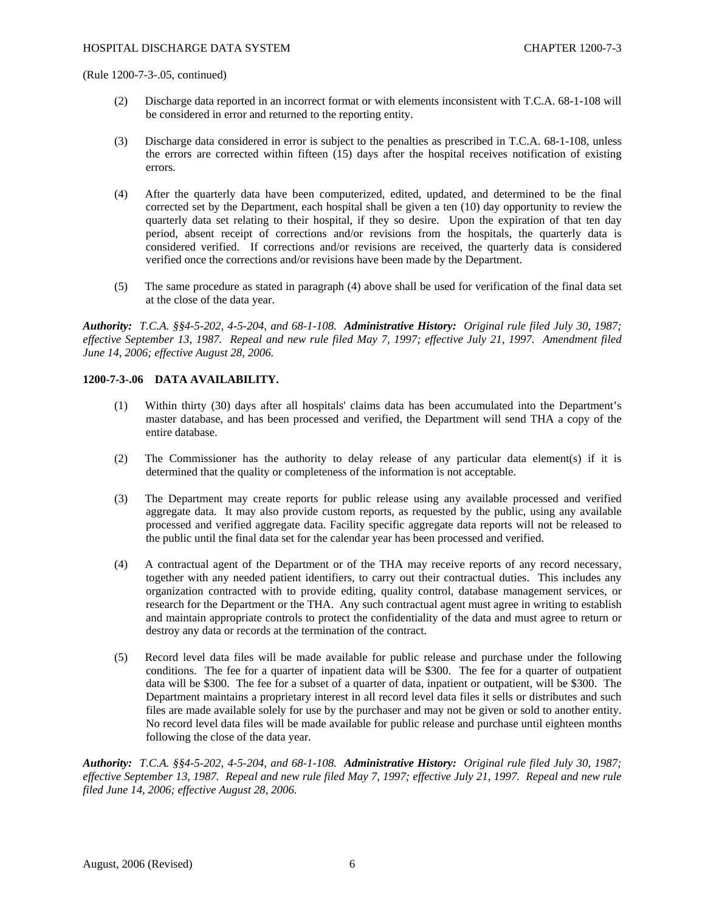(Rule 1200-7-3-.05, continued)

- (2) Discharge data reported in an incorrect format or with elements inconsistent with T.C.A. 68-1-108 will be considered in error and returned to the reporting entity.
- (3) Discharge data considered in error is subject to the penalties as prescribed in T.C.A. 68-1-108, unless the errors are corrected within fifteen (15) days after the hospital receives notification of existing errors.
- (4) After the quarterly data have been computerized, edited, updated, and determined to be the final corrected set by the Department, each hospital shall be given a ten (10) day opportunity to review the quarterly data set relating to their hospital, if they so desire. Upon the expiration of that ten day period, absent receipt of corrections and/or revisions from the hospitals, the quarterly data is considered verified. If corrections and/or revisions are received, the quarterly data is considered verified once the corrections and/or revisions have been made by the Department.
- (5) The same procedure as stated in paragraph (4) above shall be used for verification of the final data set at the close of the data year.

*Authority: T.C.A. §§4-5-202, 4-5-204, and 68-1-108. Administrative History: Original rule filed July 30, 1987; effective September 13, 1987. Repeal and new rule filed May 7, 1997; effective July 21, 1997. Amendment filed June 14, 2006; effective August 28, 2006.* 

# **1200-7-3-.06 DATA AVAILABILITY.**

- (1) Within thirty (30) days after all hospitals' claims data has been accumulated into the Department's master database, and has been processed and verified, the Department will send THA a copy of the entire database.
- (2) The Commissioner has the authority to delay release of any particular data element(s) if it is determined that the quality or completeness of the information is not acceptable.
- (3) The Department may create reports for public release using any available processed and verified aggregate data. It may also provide custom reports, as requested by the public, using any available processed and verified aggregate data. Facility specific aggregate data reports will not be released to the public until the final data set for the calendar year has been processed and verified.
- (4) A contractual agent of the Department or of the THA may receive reports of any record necessary, together with any needed patient identifiers, to carry out their contractual duties. This includes any organization contracted with to provide editing, quality control, database management services, or research for the Department or the THA. Any such contractual agent must agree in writing to establish and maintain appropriate controls to protect the confidentiality of the data and must agree to return or destroy any data or records at the termination of the contract.
- (5) Record level data files will be made available for public release and purchase under the following conditions. The fee for a quarter of inpatient data will be \$300. The fee for a quarter of outpatient data will be \$300. The fee for a subset of a quarter of data, inpatient or outpatient, will be \$300. The Department maintains a proprietary interest in all record level data files it sells or distributes and such files are made available solely for use by the purchaser and may not be given or sold to another entity. No record level data files will be made available for public release and purchase until eighteen months following the close of the data year.

*Authority: T.C.A. §§4-5-202, 4-5-204, and 68-1-108. Administrative History: Original rule filed July 30, 1987; effective September 13, 1987. Repeal and new rule filed May 7, 1997; effective July 21, 1997. Repeal and new rule filed June 14, 2006; effective August 28, 2006.*